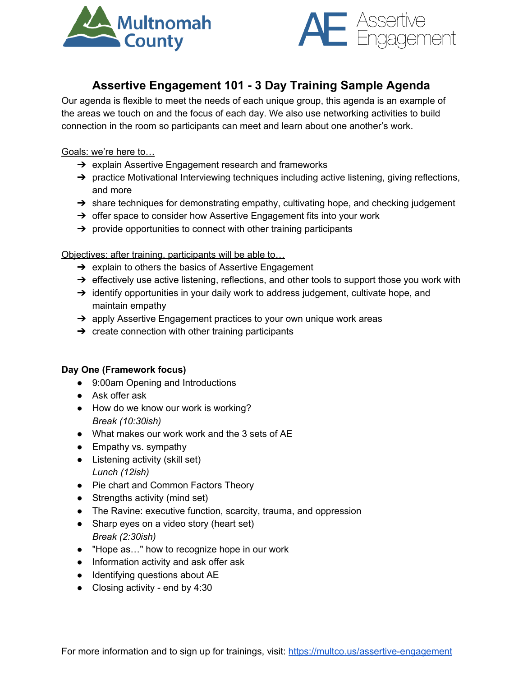



## **Assertive Engagement 101 - 3 Day Training Sample Agenda**

Our agenda is flexible to meet the needs of each unique group, this agenda is an example of the areas we touch on and the focus of each day. We also use networking activities to build connection in the room so participants can meet and learn about one another's work.

Goals: we're here to…

- **→** explain Assertive Engagement research and frameworks
- $\rightarrow$  practice Motivational Interviewing techniques including active listening, giving reflections, and more
- → share techniques for demonstrating empathy, cultivating hope, and checking judgement
- → offer space to consider how Assertive Engagement fits into your work
- $\rightarrow$  provide opportunities to connect with other training participants

Objectives: after training, participants will be able to…

- **→** explain to others the basics of Assertive Engagement
- → effectively use active listening, reflections, and other tools to support those you work with
- $\rightarrow$  identify opportunities in your daily work to address judgement, cultivate hope, and maintain empathy
- → apply Assertive Engagement practices to your own unique work areas
- $\rightarrow$  create connection with other training participants

## **Day One (Framework focus)**

- 9:00am Opening and Introductions
- Ask offer ask
- How do we know our work is working? *Break (10:30ish)*
- What makes our work work and the 3 sets of AE
- Empathy vs. sympathy
- Listening activity (skill set) *Lunch (12ish)*
- Pie chart and Common Factors Theory
- Strengths activity (mind set)
- The Ravine: executive function, scarcity, trauma, and oppression
- Sharp eyes on a video story (heart set) *Break (2:30ish)*
- "Hope as…" how to recognize hope in our work
- Information activity and ask offer ask
- Identifying questions about AE
- Closing activity end by  $4:30$